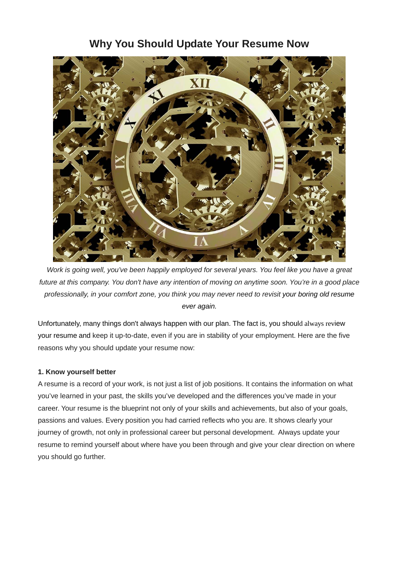# **Why You Should Update Your Resume Now**



*Work is going well, you've been happily employed for several years. You feel like you have a great future at this company. You don't have any intention of moving on anytime soon. You're in a good place professionally, in your comfort zone, you think you may never need to revisit your boring old resume ever again.*

Unfortunately, many things don't always happen with our plan. The fact is, you should always review your resume and keep it up-to-date, even if you are in stability of your employment. Here are the five reasons why you should update your resume now:

# **1. Know yourself better**

A resume is a record of your work, is not just a list of job positions. It contains the information on what you've learned in your past, the skills you've developed and the differences you've made in your career. Your resume is the blueprint not only of your skills and achievements, but also of your goals, passions and values. Every position you had carried reflects who you are. It shows clearly your journey of growth, not only in professional career but personal development. Always update your resume to remind yourself about where have you been through and give your clear direction on where you should go further.